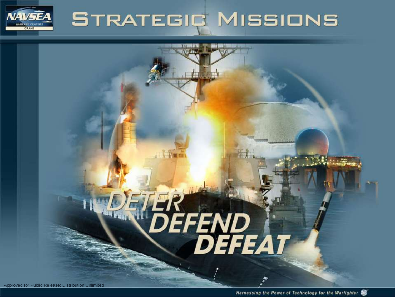# **STRATEGIC MISSIONS**

# DET BREAD

**Chao** 

**IVEFA** 

CRANE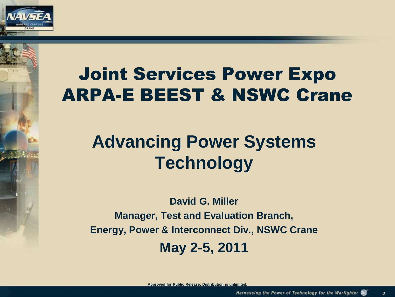

# Joint Services Power Expo ARPA-E BEEST & NSWC Crane

# **Advancing Power Systems Technology**

**David G. Miller Manager, Test and Evaluation Branch, Energy, Power & Interconnect Div., NSWC Crane May 2-5, 2011**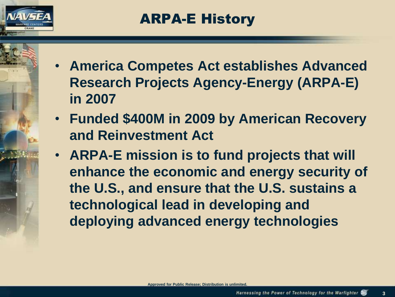

- **America Competes Act establishes Advanced Research Projects Agency-Energy (ARPA-E) in 2007**
- **Funded \$400M in 2009 by American Recovery and Reinvestment Act**
- **ARPA-E mission is to fund projects that will enhance the economic and energy security of the U.S., and ensure that the U.S. sustains a technological lead in developing and deploying advanced energy technologies**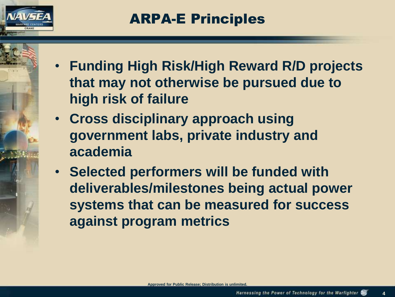

- **Funding High Risk/High Reward R/D projects that may not otherwise be pursued due to high risk of failure**
- **Cross disciplinary approach using government labs, private industry and academia**
- **Selected performers will be funded with deliverables/milestones being actual power systems that can be measured for success against program metrics**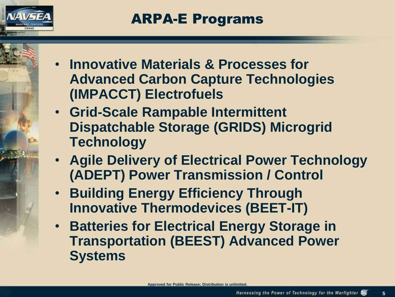

- **Innovative Materials & Processes for Advanced Carbon Capture Technologies (IMPACCT) Electrofuels**
- **Grid-Scale Rampable Intermittent Dispatchable Storage (GRIDS) Microgrid Technology**
- **Agile Delivery of Electrical Power Technology (ADEPT) Power Transmission / Control**
- **Building Energy Efficiency Through Innovative Thermodevices (BEET-IT)**
- **Batteries for Electrical Energy Storage in Transportation (BEEST) Advanced Power Systems**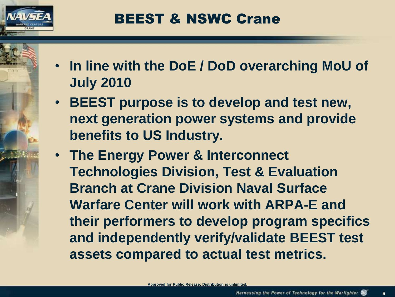

- **In line with the DoE / DoD overarching MoU of July 2010**
- **BEEST purpose is to develop and test new, next generation power systems and provide benefits to US Industry.**
- **The Energy Power & Interconnect Technologies Division, Test & Evaluation Branch at Crane Division Naval Surface Warfare Center will work with ARPA-E and their performers to develop program specifics and independently verify/validate BEEST test assets compared to actual test metrics.**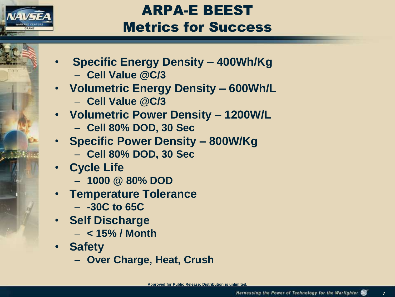

## ARPA -E BEEST Metrics for Success

- **Specific Energy Density – 400Wh/Kg** – **Cell Value @C/3**
- **Volumetric Energy Density – 600Wh/L**
	- **Cell Value @C/3**
- **Volumetric Power Density – 1200W/L**
	- **Cell 80% DOD, 30 Sec**
- **Specific Power Density – 800W/Kg**
	- **Cell 80% DOD, 30 Sec**
- **Cycle Life**
	- **1000 @ 80% DOD**
- **Temperature Tolerance**
	- **-30C to 65C**
- **Self Discharge**
	- **< 15% / Month**
- **Safety**
	- **Over Charge, Heat, Crush**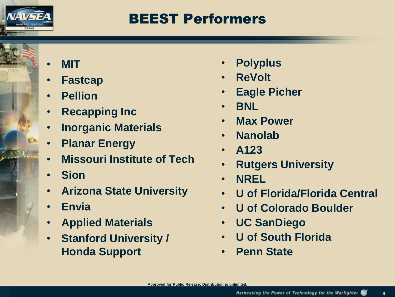

#### BEEST Performers

- **MIT**
- **Fastcap**
- **Pellion**
- **Recapping Inc**
- **Inorganic Materials**
- **Planar Energy**
- **Missouri Institute of Tech**
- **Sion**
- **Arizona State University**
- **Envia**
- **Applied Materials**
- **Stanford University / Honda Support**
- **Polyplus**
- **ReVolt**
- **Eagle Picher**
- **BNL**
- **Max Power**
- **Nanolab**
- **A123**
- **Rutgers University**
- **NREL**
- **U of Florida/Florida Central**
- **U of Colorado Boulder**
- **UC SanDiego**
- **U of South Florida**
- **Penn State**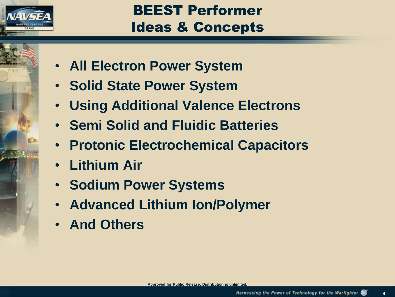

## BEEST Performer Ideas & Concepts

- **All Electron Power System**
- **Solid State Power System**
- **Using Additional Valence Electrons**
- **Semi Solid and Fluidic Batteries**
- **Protonic Electrochemical Capacitors**
- **Lithium Air**
- **Sodium Power Systems**
- **Advanced Lithium Ion/Polymer**
- **And Others**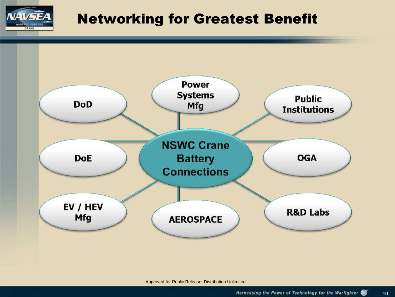

#### Networking for Greatest Benefit

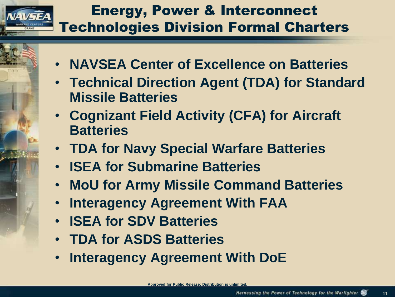### Energy, Power & Interconnect Technologies Division Formal Charters

- **NAVSEA Center of Excellence on Batteries**
- **Technical Direction Agent (TDA) for Standard Missile Batteries**
- **Cognizant Field Activity (CFA) for Aircraft Batteries**
- **TDA for Navy Special Warfare Batteries**
- **ISEA for Submarine Batteries**
- **MoU for Army Missile Command Batteries**
- **Interagency Agreement With FAA**
- **ISEA for SDV Batteries**
- **TDA for ASDS Batteries**
- **Interagency Agreement With DoE**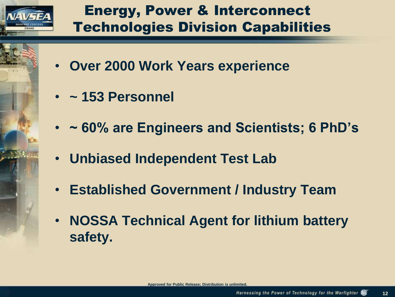

## Energy, Power & Interconnect Technologies Division Capabilities

- **Over 2000 Work Years experience**
- **~ 153 Personnel**
- **~ 60% are Engineers and Scientists; 6 PhD's**
- **Unbiased Independent Test Lab**
- **Established Government / Industry Team**
- **NOSSA Technical Agent for lithium battery safety.**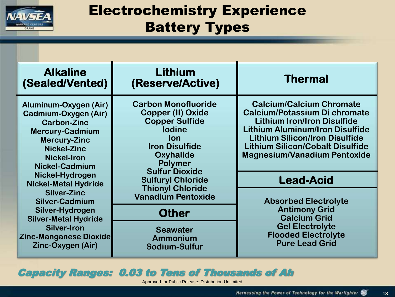

### Electrochemistry Experience Battery Types

| <b>Alkaline</b><br>(Sealed/Vented)                                                                                                                                                        | Lithium<br>(Reserve/Active)                                                                                                                                                                                                        | <b>Thermal</b>                                                                                                                                                                                                                                                                     |
|-------------------------------------------------------------------------------------------------------------------------------------------------------------------------------------------|------------------------------------------------------------------------------------------------------------------------------------------------------------------------------------------------------------------------------------|------------------------------------------------------------------------------------------------------------------------------------------------------------------------------------------------------------------------------------------------------------------------------------|
| Aluminum-Oxygen (Air)<br>Cadmium-Oxygen (Air)<br><b>Carbon-Zinc</b><br><b>Mercury-Cadmium</b><br><b>Mercury-Zinc</b><br><b>Nickel-Zinc</b><br><b>Nickel-Iron</b><br><b>Nickel-Cadmium</b> | <b>Carbon Monofluoride</b><br><b>Copper (II) Oxide</b><br><b>Copper Sulfide</b><br><b>lodine</b><br><b>lon</b><br><b>Iron Disulfide</b><br><b>Oxyhalide</b><br><b>Polymer</b><br><b>Sulfur Dioxide</b><br><b>Sulfuryl Chloride</b> | <b>Calcium/Calcium Chromate</b><br><b>Calcium/Potassium Di chromate</b><br><b>Lithium Iron/Iron Disulfide</b><br><b>Lithium Aluminum/Iron Disulfide</b><br><b>Lithium Silicon/Iron Disulfide</b><br><b>Lithium Silicon/Cobalt Disulfide</b><br><b>Magnesium/Vanadium Pentoxide</b> |
| Nickel-Hydrogen<br><b>Nickel-Metal Hydride</b>                                                                                                                                            |                                                                                                                                                                                                                                    | <b>Lead-Acid</b>                                                                                                                                                                                                                                                                   |
| <b>Silver-Zinc</b><br><b>Silver-Cadmium</b>                                                                                                                                               | <b>Thionyl Chloride</b><br><b>Vanadium Pentoxide</b>                                                                                                                                                                               | <b>Absorbed Electrolyte</b>                                                                                                                                                                                                                                                        |
| Silver-Hydrogen<br><b>Silver-Metal Hydride</b><br><b>Silver-Iron</b><br><b>Zinc-Manganese Dioxide</b><br>Zinc-Oxygen (Air)                                                                | <b>Other</b>                                                                                                                                                                                                                       | <b>Antimony Grid</b><br><b>Calcium Grid</b><br><b>Gel Electrolyte</b><br><b>Flooded Electrolyte</b><br><b>Pure Lead Grid</b>                                                                                                                                                       |
|                                                                                                                                                                                           | <b>Seawater</b><br><b>Ammonium</b><br>Sodium-Sulfur                                                                                                                                                                                |                                                                                                                                                                                                                                                                                    |

Capacity Ranges: 0.03 to Tens of Thousands of Ah

L

Approved for Public Release: Distribution Unlimited

.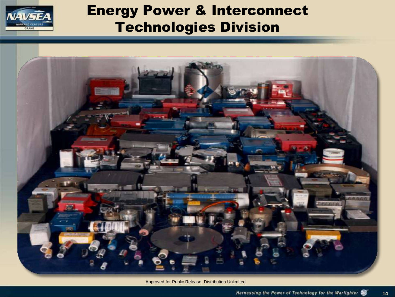

#### Energy Power & Interconnect Technologies Division



Approved for Public Release: Distribution Unlimited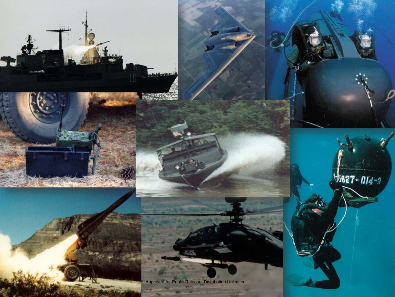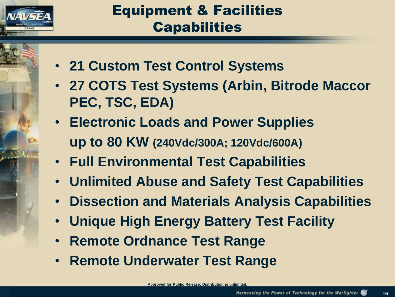

### Equipment & Facilities **Capabilities**

- **21 Custom Test Control Systems**
- **27 COTS Test Systems (Arbin, Bitrode Maccor PEC, TSC, EDA)**
- **Electronic Loads and Power Supplies up to 80 KW (240Vdc/300A; 120Vdc/600A)**
- **Full Environmental Test Capabilities**
- **Unlimited Abuse and Safety Test Capabilities**
- **Dissection and Materials Analysis Capabilities**
- **Unique High Energy Battery Test Facility**
- **Remote Ordnance Test Range**
- **Remote Underwater Test Range**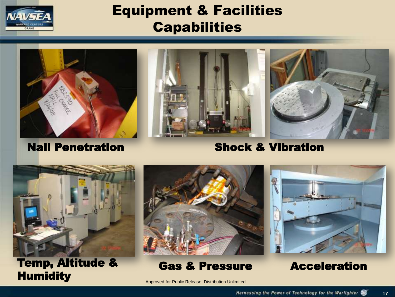

#### Equipment & Facilities **Capabilities**







#### Nail Penetration

Shock & Vibration



Temp, Altitude & **Humidity** 



#### Gas & Pressure



Acceleration

**17**

Approved for Public Release: Distribution Unlimited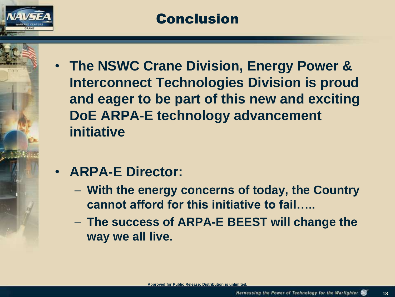

#### Conclusion

• **The NSWC Crane Division, Energy Power & Interconnect Technologies Division is proud and eager to be part of this new and exciting DoE ARPA-E technology advancement initiative**

#### • **ARPA-E Director:**

- **With the energy concerns of today, the Country cannot afford for this initiative to fail…..**
- **The success of ARPA-E BEEST will change the way we all live.**